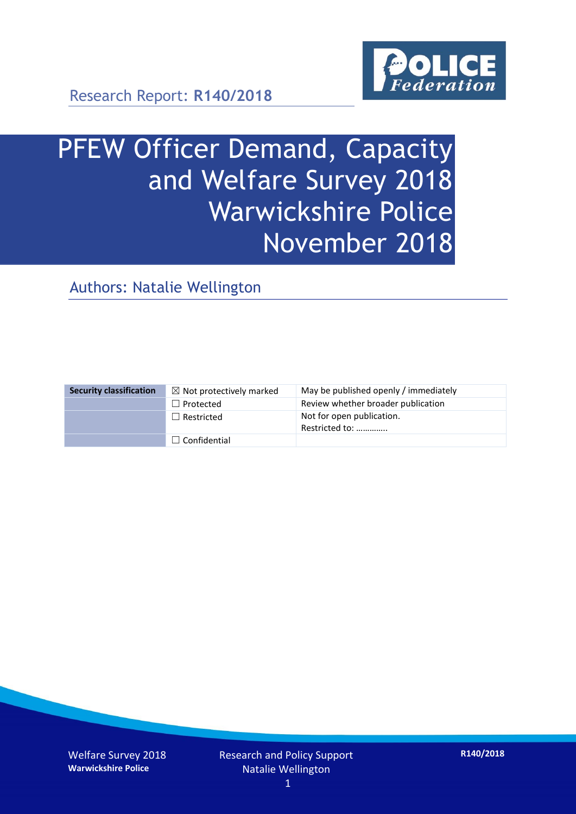

Research Report: **R140/2018**

# PFEW Officer Demand, Capacity and Welfare Survey 2018 Warwickshire Police November 2018

Authors: Natalie Wellington

| <b>Security classification</b> | $\boxtimes$ Not protectively marked | May be published openly / immediately       |
|--------------------------------|-------------------------------------|---------------------------------------------|
|                                | $\Box$ Protected                    | Review whether broader publication          |
|                                | $\Box$ Restricted                   | Not for open publication.<br>Restricted to: |
|                                | $\Box$ Confidential                 |                                             |

Welfare Survey 2018 **Warwickshire Police**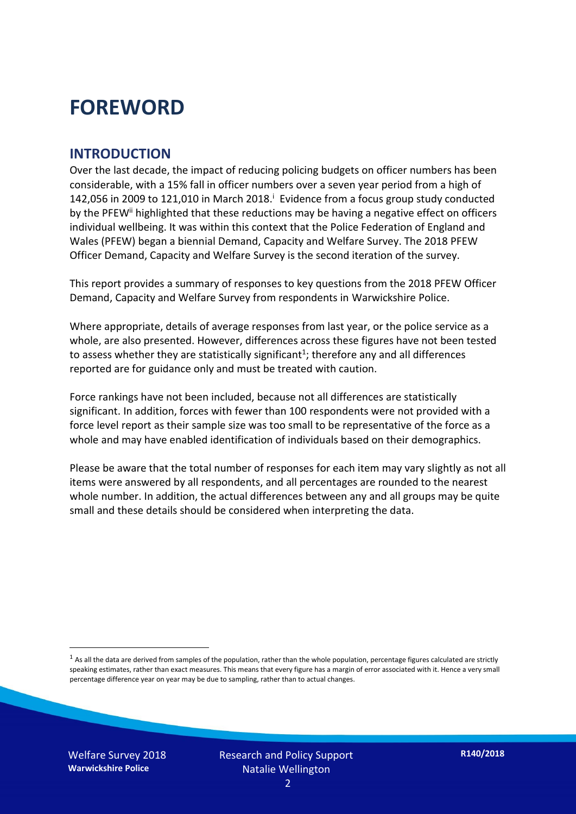# **FOREWORD**

#### **INTRODUCTION**

Over the last decade, the impact of reducing policing budgets on officer numbers has been considerable, with a 15% fall in officer numbers over a seven year period from a high of 142,056 in 2009 to 121,010 in March 2018. $^{\mathrm{i}}$  Evidence from a focus group study conducted by the PFEW<sup>ii</sup> highlighted that these reductions may be having a negative effect on officers individual wellbeing. It was within this context that the Police Federation of England and Wales (PFEW) began a biennial Demand, Capacity and Welfare Survey. The 2018 PFEW Officer Demand, Capacity and Welfare Survey is the second iteration of the survey.

This report provides a summary of responses to key questions from the 2018 PFEW Officer Demand, Capacity and Welfare Survey from respondents in Warwickshire Police.

Where appropriate, details of average responses from last year, or the police service as a whole, are also presented. However, differences across these figures have not been tested to assess whether they are statistically significant<sup>1</sup>; therefore any and all differences reported are for guidance only and must be treated with caution.

Force rankings have not been included, because not all differences are statistically significant. In addition, forces with fewer than 100 respondents were not provided with a force level report as their sample size was too small to be representative of the force as a whole and may have enabled identification of individuals based on their demographics.

Please be aware that the total number of responses for each item may vary slightly as not all items were answered by all respondents, and all percentages are rounded to the nearest whole number. In addition, the actual differences between any and all groups may be quite small and these details should be considered when interpreting the data.

 $<sup>1</sup>$  As all the data are derived from samples of the population, rather than the whole population, percentage figures calculated are strictly</sup> speaking estimates, rather than exact measures. This means that every figure has a margin of error associated with it. Hence a very small percentage difference year on year may be due to sampling, rather than to actual changes.

Welfare Survey 2018 **Warwickshire Police**

-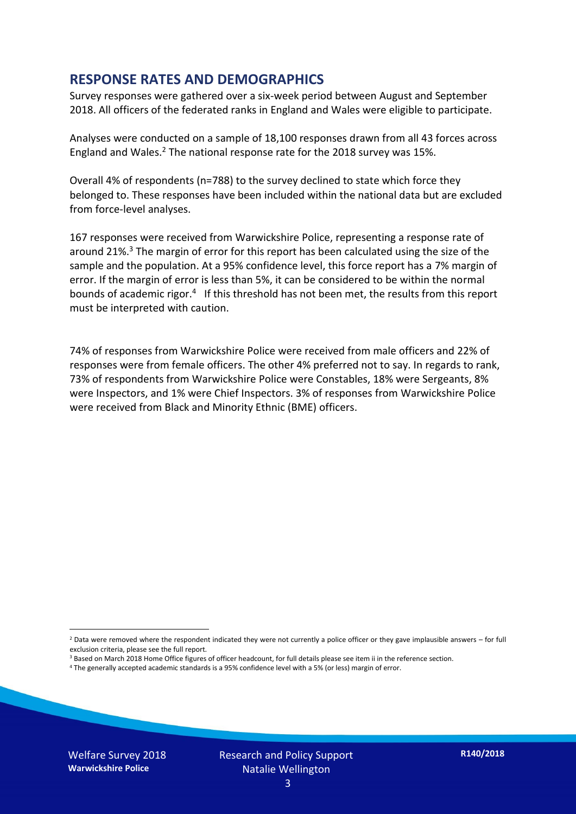#### **RESPONSE RATES AND DEMOGRAPHICS**

Survey responses were gathered over a six-week period between August and September 2018. All officers of the federated ranks in England and Wales were eligible to participate.

Analyses were conducted on a sample of 18,100 responses drawn from all 43 forces across England and Wales.<sup>2</sup> The national response rate for the 2018 survey was 15%.

Overall 4% of respondents (n=788) to the survey declined to state which force they belonged to. These responses have been included within the national data but are excluded from force-level analyses.

167 responses were received from Warwickshire Police, representing a response rate of around 21%. <sup>3</sup> The margin of error for this report has been calculated using the size of the sample and the population. At a 95% confidence level, this force report has a 7% margin of error. If the margin of error is less than 5%, it can be considered to be within the normal bounds of academic rigor.<sup>4</sup> If this threshold has not been met, the results from this report must be interpreted with caution.

74% of responses from Warwickshire Police were received from male officers and 22% of responses were from female officers. The other 4% preferred not to say. In regards to rank, 73% of respondents from Warwickshire Police were Constables, 18% were Sergeants, 8% were Inspectors, and 1% were Chief Inspectors. 3% of responses from Warwickshire Police were received from Black and Minority Ethnic (BME) officers.

-

 $2$  Data were removed where the respondent indicated they were not currently a police officer or they gave implausible answers – for full exclusion criteria, please see the full report.

<sup>3</sup> Based on March 2018 Home Office figures of officer headcount, for full details please see item ii in the reference section.

<sup>4</sup> The generally accepted academic standards is a 95% confidence level with a 5% (or less) margin of error.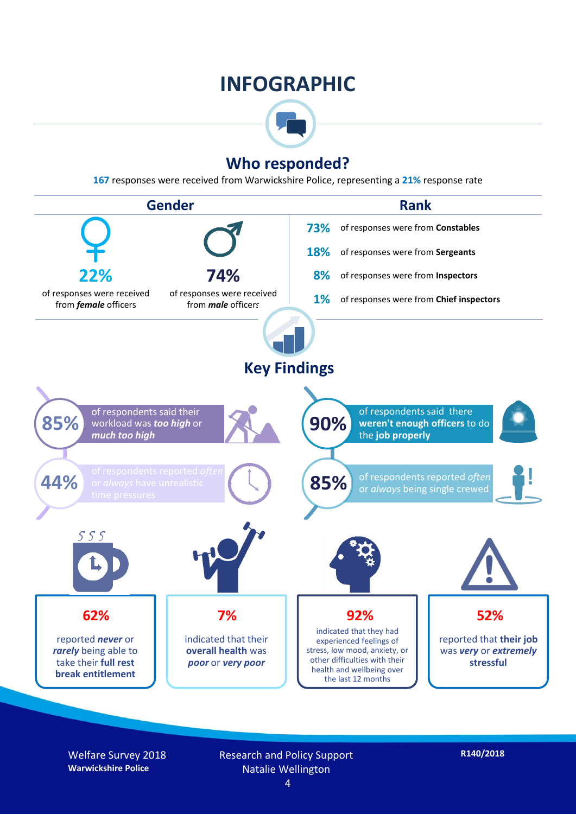## **INFOGRAPHIC**



### **Who responded?**

**167** responses were received from Warwickshire Police, representing a **21%** response rate



Welfare Survey 2018 **Warwickshire Police**

Research and Policy Support Natalie Wellington 4

**R140/2018**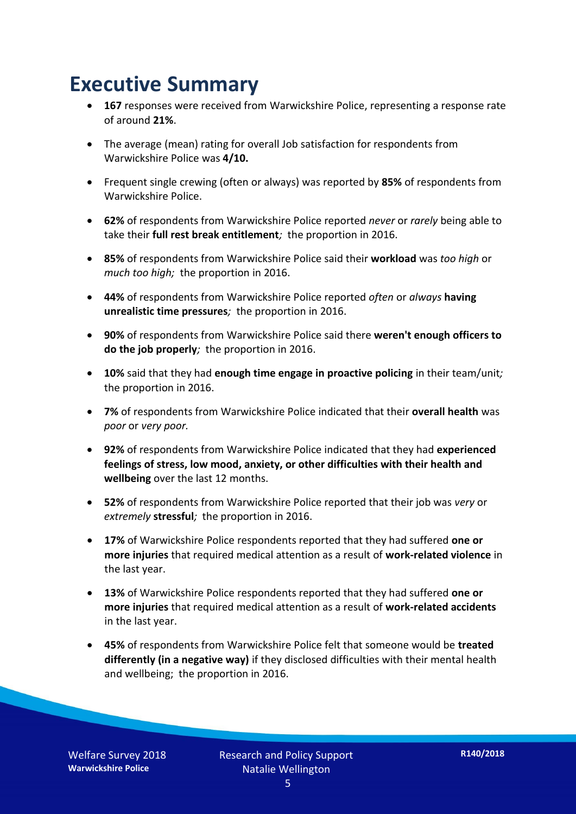## **Executive Summary**

- **167** responses were received from Warwickshire Police, representing a response rate of around **21%**.
- The average (mean) rating for overall Job satisfaction for respondents from Warwickshire Police was **4/10.**
- Frequent single crewing (often or always) was reported by **85%** of respondents from Warwickshire Police.
- **62%** of respondents from Warwickshire Police reported *never* or *rarely* being able to take their **full rest break entitlement***;* the proportion in 2016.
- **85%** of respondents from Warwickshire Police said their **workload** was *too high* or *much too high;* the proportion in 2016.
- **44%** of respondents from Warwickshire Police reported *often* or *always* **having unrealistic time pressures***;* the proportion in 2016.
- **90%** of respondents from Warwickshire Police said there **weren't enough officers to do the job properly***;* the proportion in 2016.
- **10%** said that they had **enough time engage in proactive policing** in their team/unit*;* the proportion in 2016.
- **7%** of respondents from Warwickshire Police indicated that their **overall health** was *poor* or *very poor.*
- **92%** of respondents from Warwickshire Police indicated that they had **experienced feelings of stress, low mood, anxiety, or other difficulties with their health and wellbeing** over the last 12 months.
- **52%** of respondents from Warwickshire Police reported that their job was *very* or *extremely* **stressful***;* the proportion in 2016.
- **17%** of Warwickshire Police respondents reported that they had suffered **one or more injuries** that required medical attention as a result of **work-related violence** in the last year.
- **13%** of Warwickshire Police respondents reported that they had suffered **one or more injuries** that required medical attention as a result of **work-related accidents**  in the last year.
- **45%** of respondents from Warwickshire Police felt that someone would be **treated differently (in a negative way)** if they disclosed difficulties with their mental health and wellbeing; the proportion in 2016.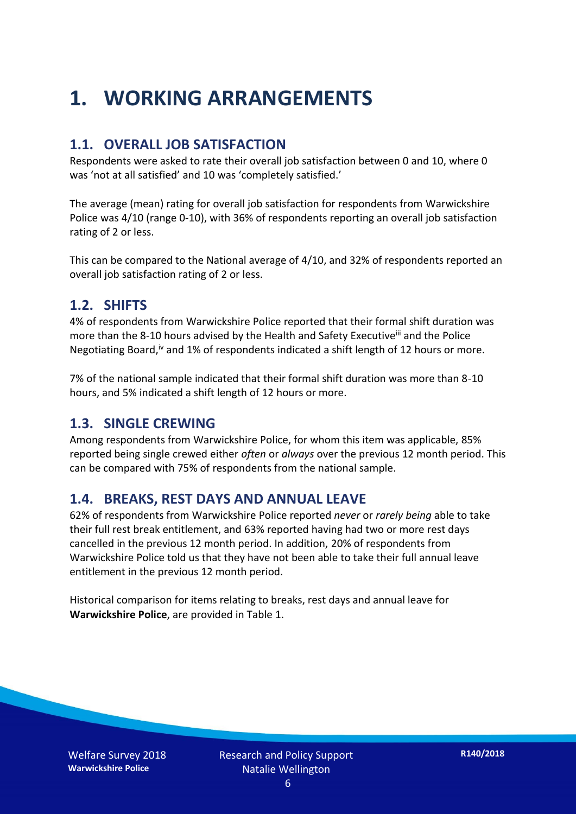# **1. WORKING ARRANGEMENTS**

#### **1.1. OVERALL JOB SATISFACTION**

Respondents were asked to rate their overall job satisfaction between 0 and 10, where 0 was 'not at all satisfied' and 10 was 'completely satisfied.'

The average (mean) rating for overall job satisfaction for respondents from Warwickshire Police was 4/10 (range 0-10), with 36% of respondents reporting an overall job satisfaction rating of 2 or less.

This can be compared to the National average of 4/10, and 32% of respondents reported an overall job satisfaction rating of 2 or less.

#### **1.2. SHIFTS**

4% of respondents from Warwickshire Police reported that their formal shift duration was more than the 8-10 hours advised by the Health and Safety Executive<sup>iii</sup> and the Police Negotiating Board,<sup>iv</sup> and 1% of respondents indicated a shift length of 12 hours or more.

7% of the national sample indicated that their formal shift duration was more than 8-10 hours, and 5% indicated a shift length of 12 hours or more.

#### **1.3. SINGLE CREWING**

Among respondents from Warwickshire Police, for whom this item was applicable, 85% reported being single crewed either *often* or *always* over the previous 12 month period. This can be compared with 75% of respondents from the national sample.

#### **1.4. BREAKS, REST DAYS AND ANNUAL LEAVE**

62% of respondents from Warwickshire Police reported *never* or *rarely being* able to take their full rest break entitlement, and 63% reported having had two or more rest days cancelled in the previous 12 month period. In addition, 20% of respondents from Warwickshire Police told us that they have not been able to take their full annual leave entitlement in the previous 12 month period.

Historical comparison for items relating to breaks, rest days and annual leave for **Warwickshire Police**, are provided in Table 1.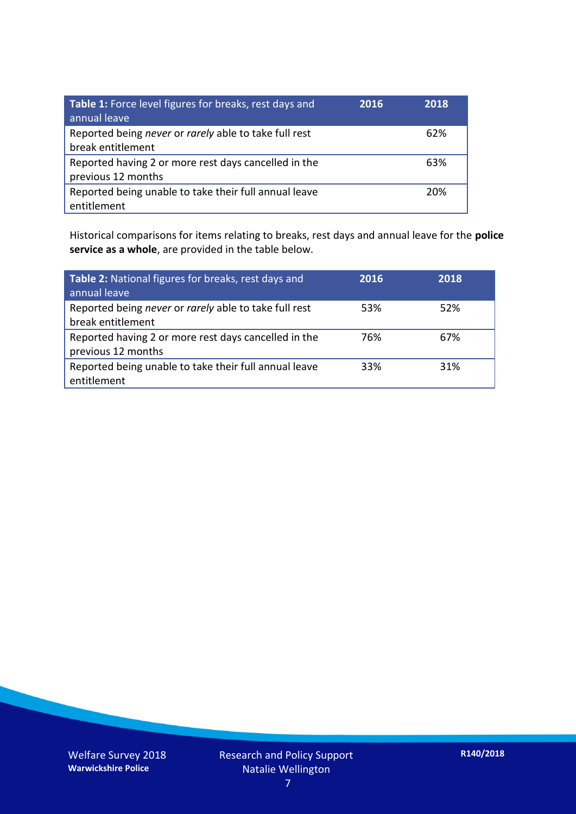| Table 1: Force level figures for breaks, rest days and<br>annual leave     | 2016 | 2018 |
|----------------------------------------------------------------------------|------|------|
| Reported being never or rarely able to take full rest<br>break entitlement |      | 62%  |
| Reported having 2 or more rest days cancelled in the<br>previous 12 months |      | 63%  |
| Reported being unable to take their full annual leave<br>entitlement       |      | 20%  |

Historical comparisons for items relating to breaks, rest days and annual leave for the **police service as a whole**, are provided in the table below.

| Table 2: National figures for breaks, rest days and<br>annual leave        | 2016 | 2018 |
|----------------------------------------------------------------------------|------|------|
| Reported being never or rarely able to take full rest<br>break entitlement | 53%  | 52%  |
| Reported having 2 or more rest days cancelled in the<br>previous 12 months | 76%  | 67%  |
| Reported being unable to take their full annual leave<br>entitlement       | 33%  | 31%  |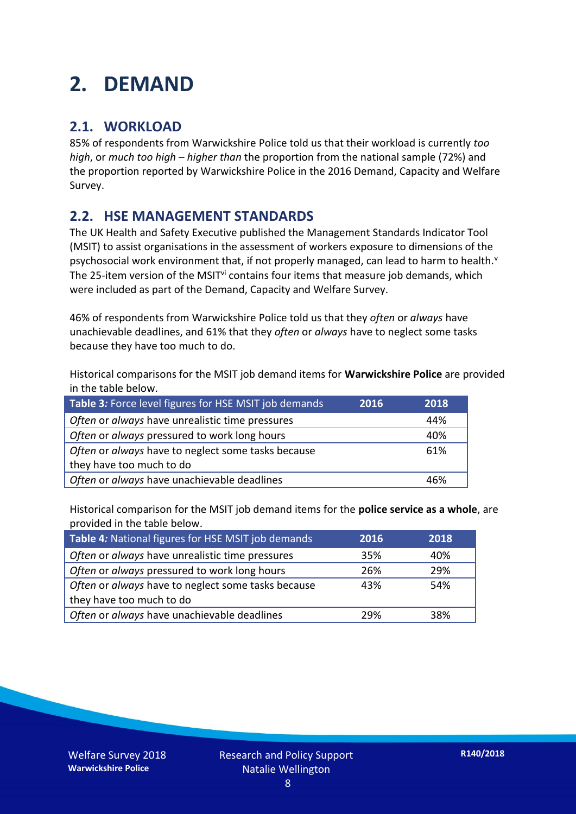# **2. DEMAND**

### **2.1. WORKLOAD**

85% of respondents from Warwickshire Police told us that their workload is currently *too high*, or *much too high* – *higher than* the proportion from the national sample (72%) and the proportion reported by Warwickshire Police in the 2016 Demand, Capacity and Welfare Survey.

### **2.2. HSE MANAGEMENT STANDARDS**

The UK Health and Safety Executive published the Management Standards Indicator Tool (MSIT) to assist organisations in the assessment of workers exposure to dimensions of the psychosocial work environment that, if not properly managed, can lead to harm to health.<sup>v</sup> The 25-item version of the MSIT<sup>vi</sup> contains four items that measure job demands, which were included as part of the Demand, Capacity and Welfare Survey.

46% of respondents from Warwickshire Police told us that they *often* or *always* have unachievable deadlines, and 61% that they *often* or *always* have to neglect some tasks because they have too much to do.

Historical comparisons for the MSIT job demand items for **Warwickshire Police** are provided in the table below.

| Table 3: Force level figures for HSE MSIT job demands | 2018<br>2016 |
|-------------------------------------------------------|--------------|
| Often or always have unrealistic time pressures       | 44%          |
| Often or always pressured to work long hours          | 40%          |
| Often or always have to neglect some tasks because    | 61%          |
| they have too much to do                              |              |
| Often or always have unachievable deadlines           | 46%          |

Historical comparison for the MSIT job demand items for the **police service as a whole**, are provided in the table below.

| Table 4: National figures for HSE MSIT job demands | 2016 | 2018 |
|----------------------------------------------------|------|------|
| Often or always have unrealistic time pressures    | 35%  | 40%  |
| Often or always pressured to work long hours       | 26%  | 29%  |
| Often or always have to neglect some tasks because | 43%  | 54%  |
| they have too much to do                           |      |      |
| Often or always have unachievable deadlines        | 29%  | 38%  |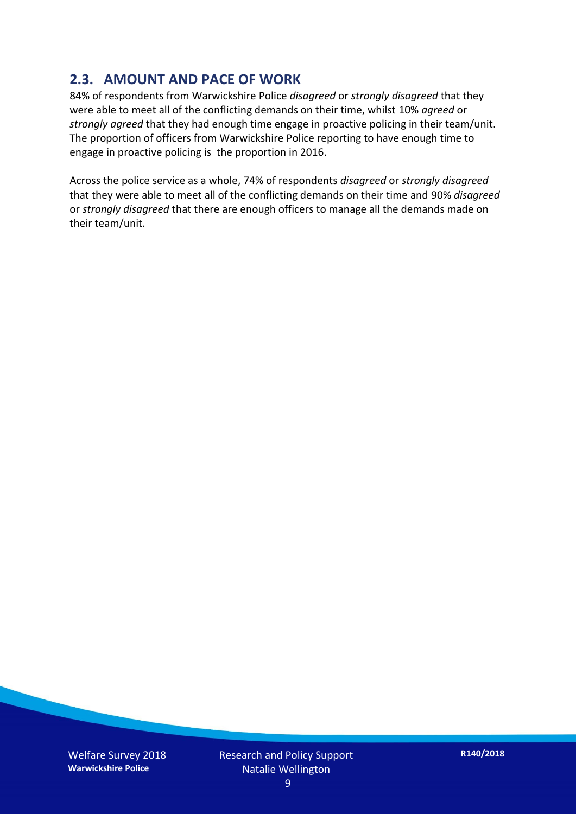### **2.3. AMOUNT AND PACE OF WORK**

84% of respondents from Warwickshire Police *disagreed* or *strongly disagreed* that they were able to meet all of the conflicting demands on their time, whilst 10% *agreed* or *strongly agreed* that they had enough time engage in proactive policing in their team/unit. The proportion of officers from Warwickshire Police reporting to have enough time to engage in proactive policing is the proportion in 2016.

Across the police service as a whole, 74% of respondents *disagreed* or *strongly disagreed* that they were able to meet all of the conflicting demands on their time and 90% *disagreed* or *strongly disagreed* that there are enough officers to manage all the demands made on their team/unit.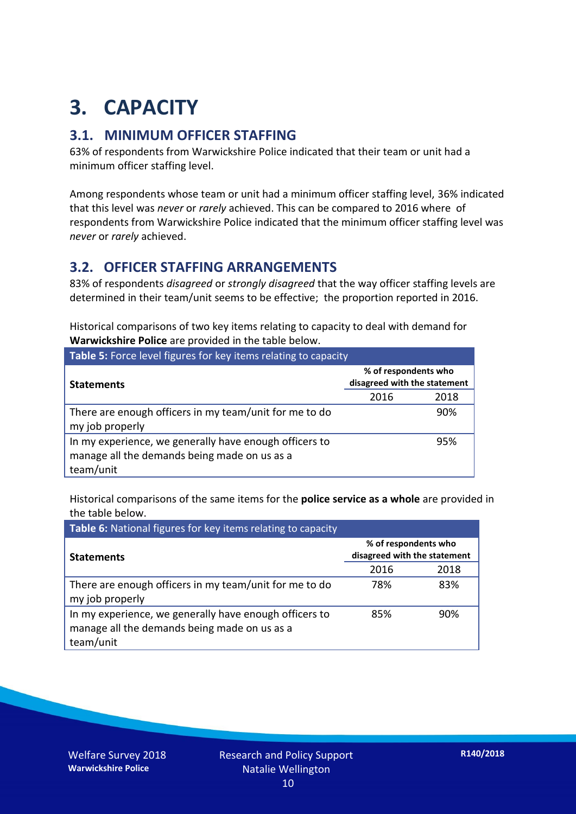# **3. CAPACITY**

### **3.1. MINIMUM OFFICER STAFFING**

63% of respondents from Warwickshire Police indicated that their team or unit had a minimum officer staffing level.

Among respondents whose team or unit had a minimum officer staffing level, 36% indicated that this level was *never* or *rarely* achieved. This can be compared to 2016 where of respondents from Warwickshire Police indicated that the minimum officer staffing level was *never* or *rarely* achieved.

#### **3.2. OFFICER STAFFING ARRANGEMENTS**

83% of respondents *disagreed* or *strongly disagreed* that the way officer staffing levels are determined in their team/unit seems to be effective; the proportion reported in 2016.

Historical comparisons of two key items relating to capacity to deal with demand for **Warwickshire Police** are provided in the table below.

| Table 5: Force level figures for key items relating to capacity                                                     |                                                      |      |  |
|---------------------------------------------------------------------------------------------------------------------|------------------------------------------------------|------|--|
| <b>Statements</b>                                                                                                   | % of respondents who<br>disagreed with the statement |      |  |
|                                                                                                                     | 2016                                                 | 2018 |  |
| There are enough officers in my team/unit for me to do<br>my job properly                                           |                                                      | 90%  |  |
| In my experience, we generally have enough officers to<br>manage all the demands being made on us as a<br>team/unit |                                                      | 95%  |  |

Historical comparisons of the same items for the **police service as a whole** are provided in the table below.

| Table 6: National figures for key items relating to capacity                                                        |                                                      |      |  |  |
|---------------------------------------------------------------------------------------------------------------------|------------------------------------------------------|------|--|--|
| <b>Statements</b>                                                                                                   | % of respondents who<br>disagreed with the statement |      |  |  |
|                                                                                                                     | 2016                                                 | 2018 |  |  |
| There are enough officers in my team/unit for me to do<br>my job properly                                           | 78%                                                  | 83%  |  |  |
| In my experience, we generally have enough officers to<br>manage all the demands being made on us as a<br>team/unit | 85%                                                  | 90%  |  |  |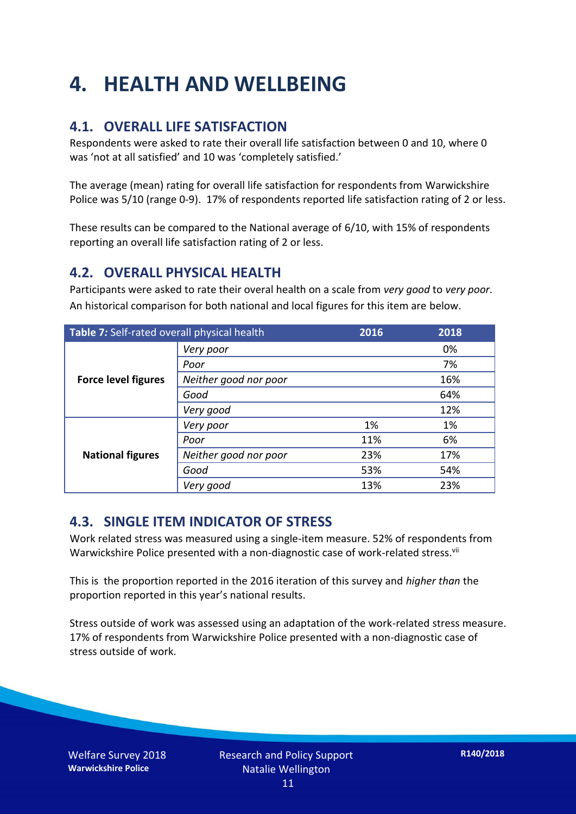# **4. HEALTH AND WELLBEING**

### **4.1. OVERALL LIFE SATISFACTION**

Respondents were asked to rate their overall life satisfaction between 0 and 10, where 0 was 'not at all satisfied' and 10 was 'completely satisfied.'

The average (mean) rating for overall life satisfaction for respondents from Warwickshire Police was 5/10 (range 0-9). 17% of respondents reported life satisfaction rating of 2 or less.

These results can be compared to the National average of 6/10, with 15% of respondents reporting an overall life satisfaction rating of 2 or less.

#### **4.2. OVERALL PHYSICAL HEALTH**

Participants were asked to rate their overal health on a scale from *very good* to *very poor*. An historical comparison for both national and local figures for this item are below.

| Table 7: Self-rated overall physical health |                       | 2016 | 2018 |
|---------------------------------------------|-----------------------|------|------|
|                                             | Very poor             |      | 0%   |
|                                             | Poor                  |      | 7%   |
| <b>Force level figures</b>                  | Neither good nor poor |      | 16%  |
|                                             | Good                  |      | 64%  |
|                                             | Very good             |      | 12%  |
| <b>National figures</b>                     | Very poor             | 1%   | 1%   |
|                                             | Poor                  | 11%  | 6%   |
|                                             | Neither good nor poor | 23%  | 17%  |
|                                             | Good                  | 53%  | 54%  |
|                                             | Very good             | 13%  | 23%  |

#### **4.3. SINGLE ITEM INDICATOR OF STRESS**

Work related stress was measured using a single-item measure. 52% of respondents from Warwickshire Police presented with a non-diagnostic case of work-related stress.<sup>vii</sup>

This is the proportion reported in the 2016 iteration of this survey and *higher than* the proportion reported in this year's national results.

Stress outside of work was assessed using an adaptation of the work-related stress measure. 17% of respondents from Warwickshire Police presented with a non-diagnostic case of stress outside of work.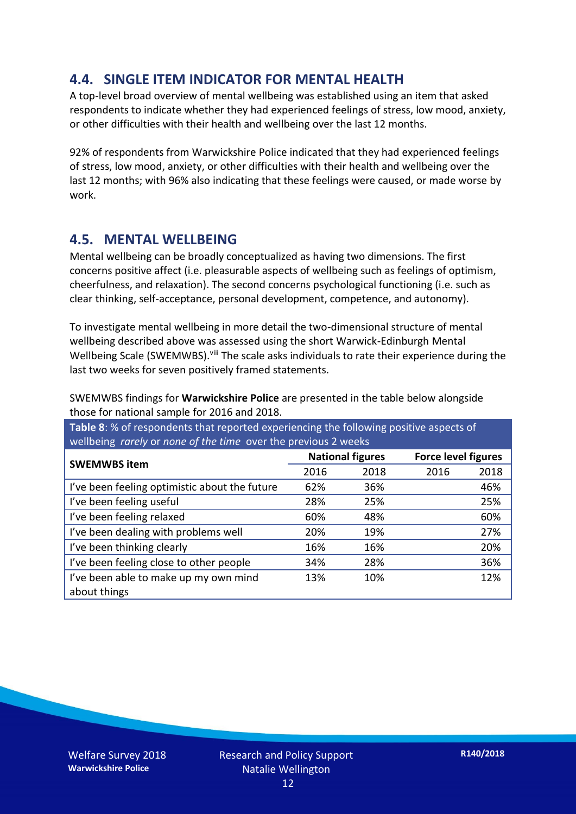### **4.4. SINGLE ITEM INDICATOR FOR MENTAL HEALTH**

A top-level broad overview of mental wellbeing was established using an item that asked respondents to indicate whether they had experienced feelings of stress, low mood, anxiety, or other difficulties with their health and wellbeing over the last 12 months.

92% of respondents from Warwickshire Police indicated that they had experienced feelings of stress, low mood, anxiety, or other difficulties with their health and wellbeing over the last 12 months; with 96% also indicating that these feelings were caused, or made worse by work.

#### **4.5. MENTAL WELLBEING**

Mental wellbeing can be broadly conceptualized as having two dimensions. The first concerns positive affect (i.e. pleasurable aspects of wellbeing such as feelings of optimism, cheerfulness, and relaxation). The second concerns psychological functioning (i.e. such as clear thinking, self-acceptance, personal development, competence, and autonomy).

To investigate mental wellbeing in more detail the two-dimensional structure of mental wellbeing described above was assessed using the short Warwick-Edinburgh Mental Wellbeing Scale (SWEMWBS). viii The scale asks individuals to rate their experience during the last two weeks for seven positively framed statements.

SWEMWBS findings for **Warwickshire Police** are presented in the table below alongside those for national sample for 2016 and 2018.

**Table 8**: % of respondents that reported experiencing the following positive aspects of wellbeing *rarely* or *none of the time* over the previous 2 weeks

| <b>SWEMWBS item</b>                           | <b>National figures</b> |      | <b>Force level figures</b> |      |
|-----------------------------------------------|-------------------------|------|----------------------------|------|
|                                               | 2016                    | 2018 | 2016                       | 2018 |
| I've been feeling optimistic about the future | 62%                     | 36%  |                            | 46%  |
| I've been feeling useful                      | 28%                     | 25%  |                            | 25%  |
| I've been feeling relaxed                     | 60%                     | 48%  |                            | 60%  |
| I've been dealing with problems well          | 20%                     | 19%  |                            | 27%  |
| I've been thinking clearly                    | 16%                     | 16%  |                            | 20%  |
| I've been feeling close to other people       | 34%                     | 28%  |                            | 36%  |
| I've been able to make up my own mind         | 13%                     | 10%  |                            | 12%  |
| about things                                  |                         |      |                            |      |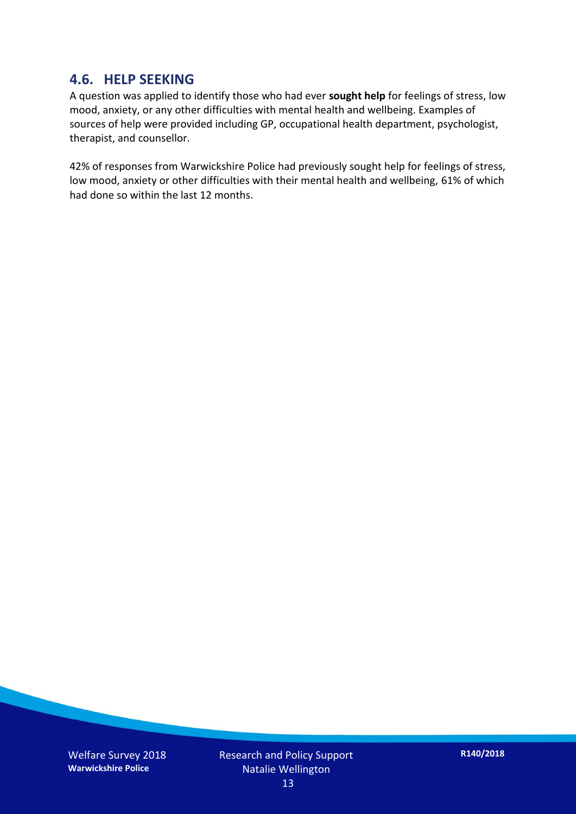#### **4.6. HELP SEEKING**

A question was applied to identify those who had ever **sought help** for feelings of stress, low mood, anxiety, or any other difficulties with mental health and wellbeing. Examples of sources of help were provided including GP, occupational health department, psychologist, therapist, and counsellor.

42% of responses from Warwickshire Police had previously sought help for feelings of stress, low mood, anxiety or other difficulties with their mental health and wellbeing, 61% of which had done so within the last 12 months.

Welfare Survey 2018 **Warwickshire Police**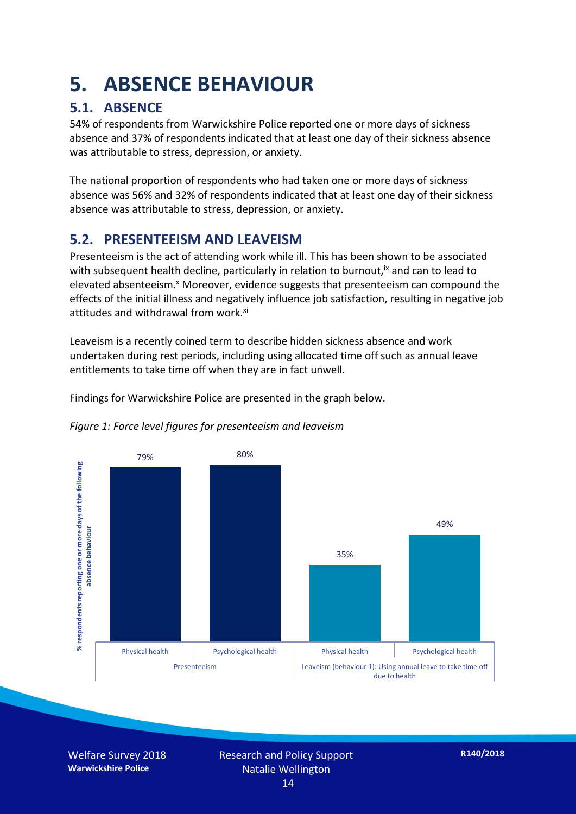# **5. ABSENCE BEHAVIOUR**

## **5.1. ABSENCE**

54% of respondents from Warwickshire Police reported one or more days of sickness absence and 37% of respondents indicated that at least one day of their sickness absence was attributable to stress, depression, or anxiety.

The national proportion of respondents who had taken one or more days of sickness absence was 56% and 32% of respondents indicated that at least one day of their sickness absence was attributable to stress, depression, or anxiety.

### **5.2. PRESENTEEISM AND LEAVEISM**

Presenteeism is the act of attending work while ill. This has been shown to be associated with subsequent health decline, particularly in relation to burnout,  $\alpha$  and can to lead to elevated absenteeism.<sup>x</sup> Moreover, evidence suggests that presenteeism can compound the effects of the initial illness and negatively influence job satisfaction, resulting in negative job attitudes and withdrawal from work.<sup>xi</sup>

Leaveism is a recently coined term to describe hidden sickness absence and work undertaken during rest periods, including using allocated time off such as annual leave entitlements to take time off when they are in fact unwell.

Findings for Warwickshire Police are presented in the graph below.



#### *Figure 1: Force level figures for presenteeism and leaveism*

Welfare Survey 2018 **Warwickshire Police**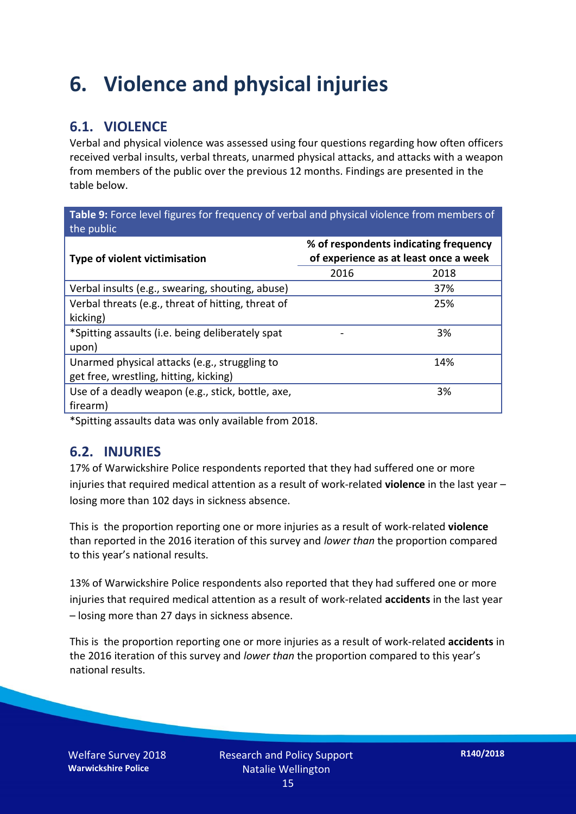# **6. Violence and physical injuries**

## **6.1. VIOLENCE**

Verbal and physical violence was assessed using four questions regarding how often officers received verbal insults, verbal threats, unarmed physical attacks, and attacks with a weapon from members of the public over the previous 12 months. Findings are presented in the table below.

**Table 9:** Force level figures for frequency of verbal and physical violence from members of the public

| Type of violent victimisation                      | % of respondents indicating frequency<br>of experience as at least once a week |      |
|----------------------------------------------------|--------------------------------------------------------------------------------|------|
|                                                    | 2016                                                                           | 2018 |
| Verbal insults (e.g., swearing, shouting, abuse)   |                                                                                | 37%  |
| Verbal threats (e.g., threat of hitting, threat of |                                                                                | 25%  |
| kicking)                                           |                                                                                |      |
| *Spitting assaults (i.e. being deliberately spat   |                                                                                | 3%   |
| upon)                                              |                                                                                |      |
| Unarmed physical attacks (e.g., struggling to      |                                                                                | 14%  |
| get free, wrestling, hitting, kicking)             |                                                                                |      |
| Use of a deadly weapon (e.g., stick, bottle, axe,  |                                                                                | 3%   |
| firearm)                                           |                                                                                |      |

\*Spitting assaults data was only available from 2018.

#### **6.2. INJURIES**

17% of Warwickshire Police respondents reported that they had suffered one or more injuries that required medical attention as a result of work-related **violence** in the last year – losing more than 102 days in sickness absence.

This is the proportion reporting one or more injuries as a result of work-related **violence** than reported in the 2016 iteration of this survey and *lower than* the proportion compared to this year's national results.

13% of Warwickshire Police respondents also reported that they had suffered one or more injuries that required medical attention as a result of work-related **accidents** in the last year – losing more than 27 days in sickness absence.

This is the proportion reporting one or more injuries as a result of work-related **accidents** in the 2016 iteration of this survey and *lower than* the proportion compared to this year's national results.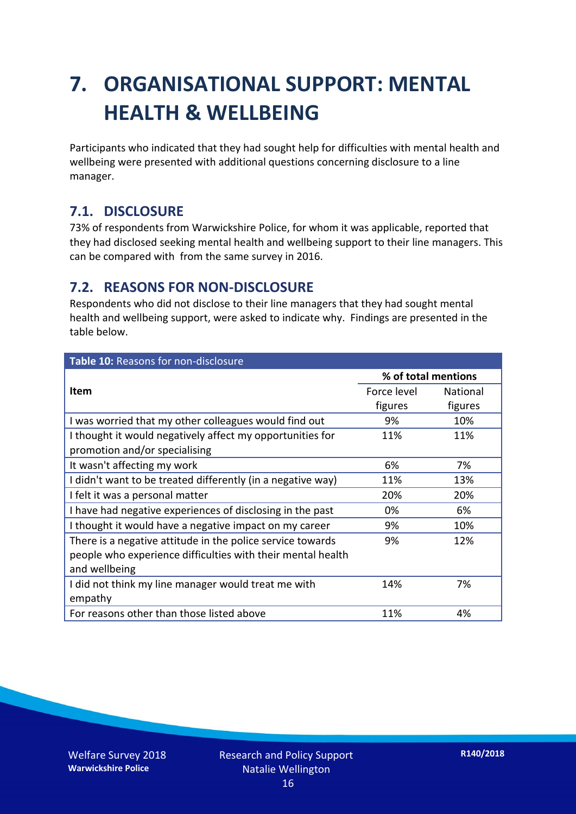# **7. ORGANISATIONAL SUPPORT: MENTAL HEALTH & WELLBEING**

Participants who indicated that they had sought help for difficulties with mental health and wellbeing were presented with additional questions concerning disclosure to a line manager.

#### **7.1. DISCLOSURE**

73% of respondents from Warwickshire Police, for whom it was applicable, reported that they had disclosed seeking mental health and wellbeing support to their line managers. This can be compared with from the same survey in 2016.

#### **7.2. REASONS FOR NON-DISCLOSURE**

Respondents who did not disclose to their line managers that they had sought mental health and wellbeing support, were asked to indicate why. Findings are presented in the table below.

| Table 10: Reasons for non-disclosure                        |                     |          |  |
|-------------------------------------------------------------|---------------------|----------|--|
|                                                             | % of total mentions |          |  |
| <b>Item</b>                                                 | Force level         | National |  |
|                                                             | figures             | figures  |  |
| I was worried that my other colleagues would find out       | 9%                  | 10%      |  |
| I thought it would negatively affect my opportunities for   | 11%                 | 11%      |  |
| promotion and/or specialising                               |                     |          |  |
| It wasn't affecting my work                                 | 6%                  | 7%       |  |
| I didn't want to be treated differently (in a negative way) | 11%                 | 13%      |  |
| I felt it was a personal matter                             | 20%                 | 20%      |  |
| I have had negative experiences of disclosing in the past   | 0%                  | 6%       |  |
| I thought it would have a negative impact on my career      | 9%                  | 10%      |  |
| There is a negative attitude in the police service towards  | 9%                  | 12%      |  |
| people who experience difficulties with their mental health |                     |          |  |
| and wellbeing                                               |                     |          |  |
| I did not think my line manager would treat me with         | 14%                 | 7%       |  |
| empathy                                                     |                     |          |  |
| For reasons other than those listed above                   | 11%                 | 4%       |  |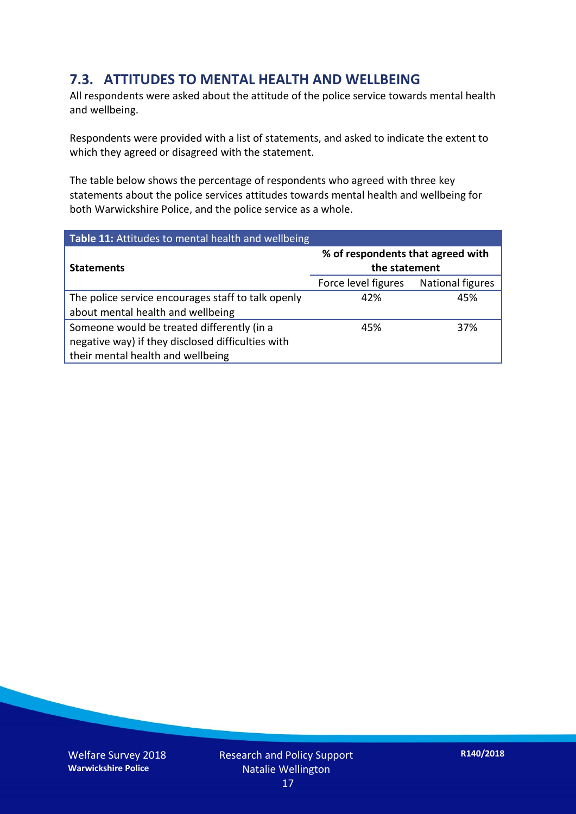### **7.3. ATTITUDES TO MENTAL HEALTH AND WELLBEING**

All respondents were asked about the attitude of the police service towards mental health and wellbeing.

Respondents were provided with a list of statements, and asked to indicate the extent to which they agreed or disagreed with the statement.

The table below shows the percentage of respondents who agreed with three key statements about the police services attitudes towards mental health and wellbeing for both Warwickshire Police, and the police service as a whole.

| Table 11: Attitudes to mental health and wellbeing |                                                    |                  |
|----------------------------------------------------|----------------------------------------------------|------------------|
| <b>Statements</b>                                  | % of respondents that agreed with<br>the statement |                  |
|                                                    | Force level figures                                | National figures |
| The police service encourages staff to talk openly | 42%                                                | 45%              |
| about mental health and wellbeing                  |                                                    |                  |
| Someone would be treated differently (in a         | 45%                                                | 37%              |
| negative way) if they disclosed difficulties with  |                                                    |                  |
| their mental health and wellbeing                  |                                                    |                  |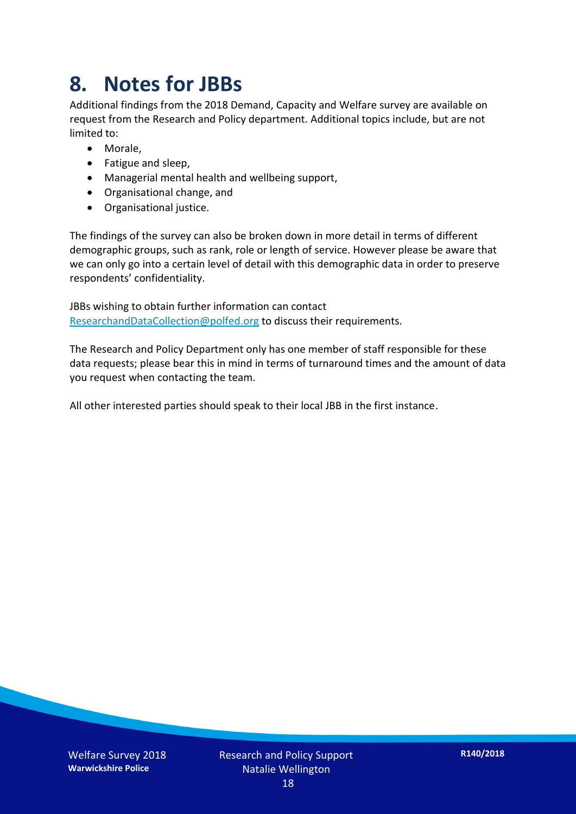# **8. Notes for JBBs**

Additional findings from the 2018 Demand, Capacity and Welfare survey are available on request from the Research and Policy department. Additional topics include, but are not limited to:

- Morale,
- Fatigue and sleep,
- Managerial mental health and wellbeing support,
- Organisational change, and
- Organisational justice.

The findings of the survey can also be broken down in more detail in terms of different demographic groups, such as rank, role or length of service. However please be aware that we can only go into a certain level of detail with this demographic data in order to preserve respondents' confidentiality.

JBBs wishing to obtain further information can contact [ResearchandDataCollection@polfed.org](mailto:ResearchandDataCollection@polfed.org) to discuss their requirements.

The Research and Policy Department only has one member of staff responsible for these data requests; please bear this in mind in terms of turnaround times and the amount of data you request when contacting the team.

All other interested parties should speak to their local JBB in the first instance.